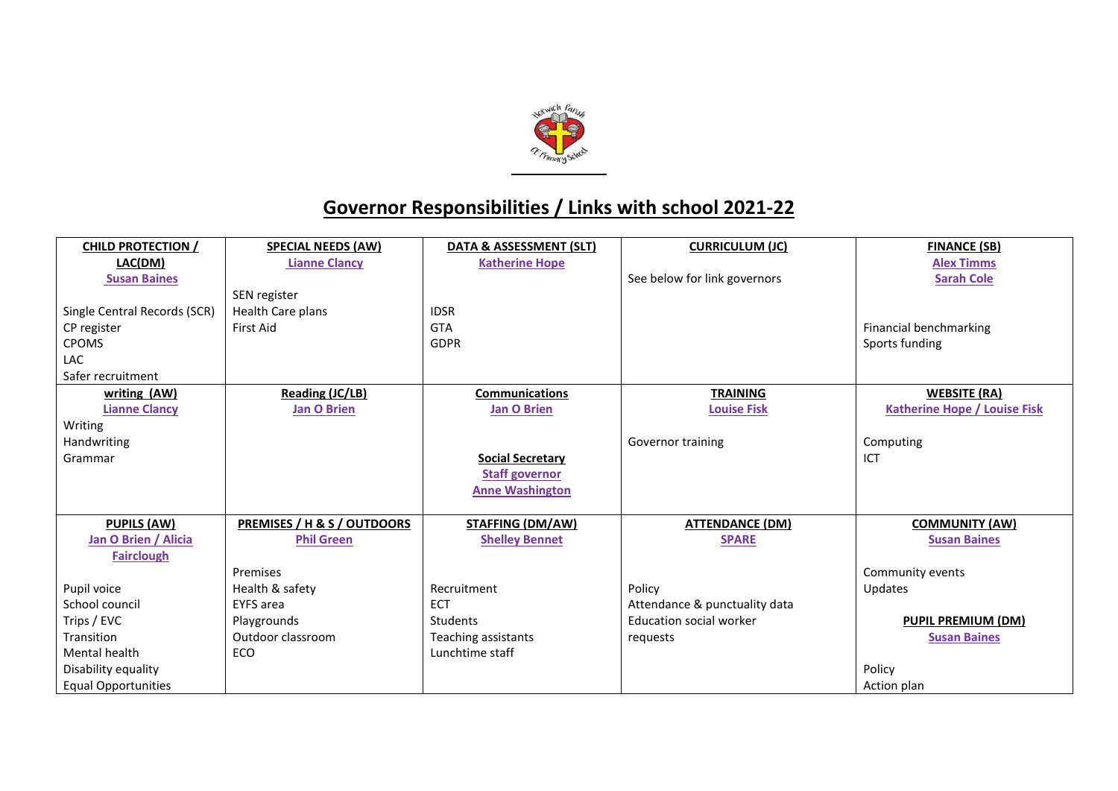

## **Governor Responsibilities / Links with school 2021-22**

| <b>CHILD PROTECTION /</b>    | <b>SPECIAL NEEDS (AW)</b>   | DATA & ASSESSMENT (SLT) | <b>CURRICULUM (JC)</b>         | <b>FINANCE (SB)</b>                 |
|------------------------------|-----------------------------|-------------------------|--------------------------------|-------------------------------------|
| LAC(DM)                      | <b>Lianne Clancy</b>        | <b>Katherine Hope</b>   |                                | <b>Alex Timms</b>                   |
| <b>Susan Baines</b>          |                             |                         | See below for link governors   | <b>Sarah Cole</b>                   |
|                              | SEN register                |                         |                                |                                     |
| Single Central Records (SCR) | Health Care plans           | <b>IDSR</b>             |                                |                                     |
| CP register                  | First Aid                   | <b>GTA</b>              |                                | Financial benchmarking              |
| <b>CPOMS</b>                 |                             | <b>GDPR</b>             |                                | Sports funding                      |
| LAC                          |                             |                         |                                |                                     |
| Safer recruitment            |                             |                         |                                |                                     |
| writing (AW)                 | <b>Reading (JC/LB)</b>      | <b>Communications</b>   | <b>TRAINING</b>                | <b>WEBSITE (RA)</b>                 |
| <b>Lianne Clancy</b>         | <b>Jan O Brien</b>          | <b>Jan O Brien</b>      | <b>Louise Fisk</b>             | <b>Katherine Hope / Louise Fisk</b> |
| Writing                      |                             |                         |                                |                                     |
| Handwriting                  |                             |                         | Governor training              | Computing                           |
| Grammar                      |                             | <b>Social Secretary</b> |                                | ICT                                 |
|                              |                             | <b>Staff governor</b>   |                                |                                     |
|                              |                             | <b>Anne Washington</b>  |                                |                                     |
|                              |                             |                         |                                |                                     |
| <b>PUPILS (AW)</b>           | PREMISES / H & S / OUTDOORS | <b>STAFFING (DM/AW)</b> | <b>ATTENDANCE (DM)</b>         | <b>COMMUNITY (AW)</b>               |
| Jan O Brien / Alicia         | <b>Phil Green</b>           | <b>Shelley Bennet</b>   | <b>SPARE</b>                   | <b>Susan Baines</b>                 |
| <b>Fairclough</b>            |                             |                         |                                |                                     |
|                              | Premises                    |                         |                                | Community events                    |
| Pupil voice                  | Health & safety             | Recruitment             | Policy                         | Updates                             |
| School council               | <b>EYFS</b> area            | <b>ECT</b>              | Attendance & punctuality data  |                                     |
| Trips / EVC                  | Playgrounds                 | Students                | <b>Education social worker</b> | <b>PUPIL PREMIUM (DM)</b>           |
| Transition                   | Outdoor classroom           | Teaching assistants     | requests                       | <b>Susan Baines</b>                 |
| Mental health                | ECO                         | Lunchtime staff         |                                |                                     |
| Disability equality          |                             |                         |                                | Policy                              |
| <b>Equal Opportunities</b>   |                             |                         |                                | Action plan                         |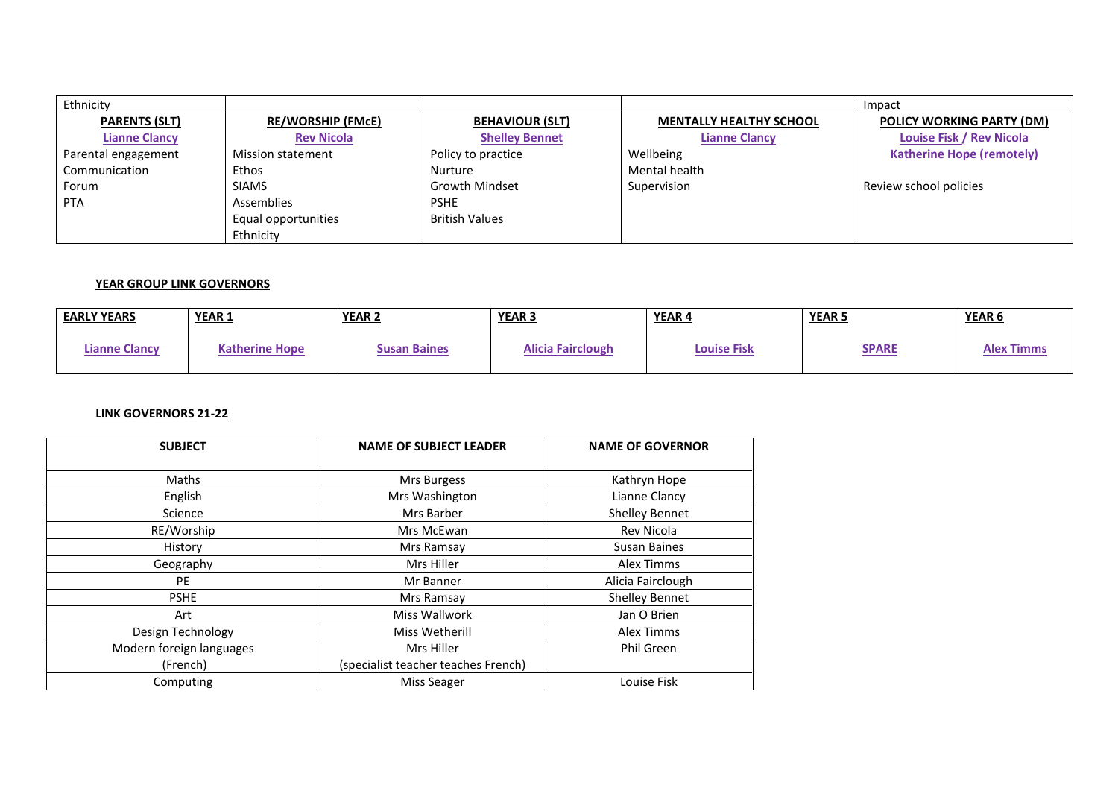| Ethnicity            |                          |                        |                                | Impact                           |
|----------------------|--------------------------|------------------------|--------------------------------|----------------------------------|
| <b>PARENTS (SLT)</b> | <b>RE/WORSHIP (FMcE)</b> | <b>BEHAVIOUR (SLT)</b> | <b>MENTALLY HEALTHY SCHOOL</b> | <b>POLICY WORKING PARTY (DM)</b> |
| <b>Lianne Clancy</b> | <b>Rev Nicola</b>        | <b>Shelley Bennet</b>  | <b>Lianne Clancy</b>           | <b>Louise Fisk / Rev Nicola</b>  |
| Parental engagement  | <b>Mission statement</b> | Policy to practice     | Wellbeing                      | <b>Katherine Hope (remotely)</b> |
| Communication        | Ethos                    | <b>Nurture</b>         | Mental health                  |                                  |
| Forum                | <b>SIAMS</b>             | <b>Growth Mindset</b>  | Supervision                    | Review school policies           |
| <b>PTA</b>           | Assemblies               | <b>PSHE</b>            |                                |                                  |
|                      | Equal opportunities      | <b>British Values</b>  |                                |                                  |
|                      | Ethnicity                |                        |                                |                                  |

## **YEAR GROUP LINK GOVERNORS**

| <b>EARLY YEARS</b>   | YEAR 1                | YEAR <sub>2</sub>   | YEAR <sub>3</sub>        | YEAR 4             | <b>YEAR5</b> | <u>YEAR 6</u>     |
|----------------------|-----------------------|---------------------|--------------------------|--------------------|--------------|-------------------|
| <b>Lianne Clancy</b> | <b>Katherine Hope</b> | <b>Susan Baines</b> | <b>Alicia Fairclough</b> | <b>Louise Fisk</b> | <b>SPARE</b> | <b>Alex Timms</b> |

## **LINK GOVERNORS 21-22**

| <b>SUBJECT</b>           | <b>NAME OF SUBJECT LEADER</b>       | <b>NAME OF GOVERNOR</b> |
|--------------------------|-------------------------------------|-------------------------|
|                          |                                     |                         |
| Maths                    | Mrs Burgess                         | Kathryn Hope            |
| English                  | Mrs Washington                      | Lianne Clancy           |
| Science                  | Mrs Barber                          | <b>Shelley Bennet</b>   |
| RE/Worship               | Mrs McEwan                          | Rev Nicola              |
| History                  | Mrs Ramsay                          | Susan Baines            |
| Geography                | Mrs Hiller                          | Alex Timms              |
| PE                       | Mr Banner                           | Alicia Fairclough       |
| <b>PSHE</b>              | Mrs Ramsay                          | <b>Shelley Bennet</b>   |
| Art                      | Miss Wallwork                       | Jan O Brien             |
| Design Technology        | Miss Wetherill                      | Alex Timms              |
| Modern foreign languages | Mrs Hiller                          | Phil Green              |
| (French)                 | (specialist teacher teaches French) |                         |
| Computing                | <b>Miss Seager</b>                  | Louise Fisk             |